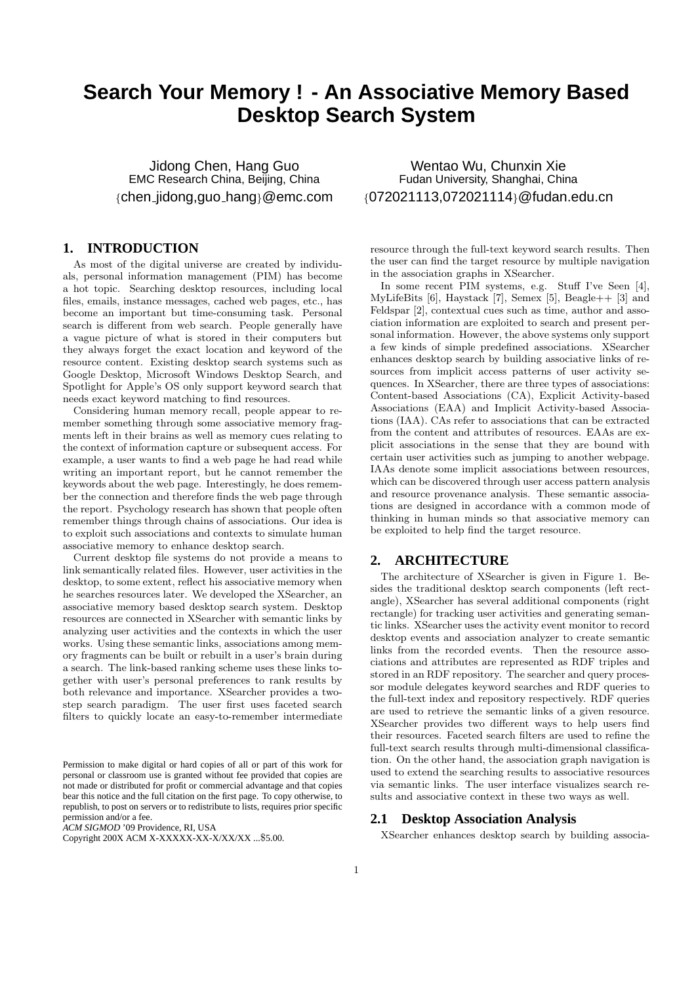# **Search Your Memory ! - An Associative Memory Based Desktop Search System**

Jidong Chen, Hang Guo EMC Research China, Beijing, China {chen jidong,guo hang}@emc.com

# **1. INTRODUCTION**

As most of the digital universe are created by individuals, personal information management (PIM) has become a hot topic. Searching desktop resources, including local files, emails, instance messages, cached web pages, etc., has become an important but time-consuming task. Personal search is different from web search. People generally have a vague picture of what is stored in their computers but they always forget the exact location and keyword of the resource content. Existing desktop search systems such as Google Desktop, Microsoft Windows Desktop Search, and Spotlight for Apple's OS only support keyword search that needs exact keyword matching to find resources.

Considering human memory recall, people appear to remember something through some associative memory fragments left in their brains as well as memory cues relating to the context of information capture or subsequent access. For example, a user wants to find a web page he had read while writing an important report, but he cannot remember the keywords about the web page. Interestingly, he does remember the connection and therefore finds the web page through the report. Psychology research has shown that people often remember things through chains of associations. Our idea is to exploit such associations and contexts to simulate human associative memory to enhance desktop search.

Current desktop file systems do not provide a means to link semantically related files. However, user activities in the desktop, to some extent, reflect his associative memory when he searches resources later. We developed the XSearcher, an associative memory based desktop search system. Desktop resources are connected in XSearcher with semantic links by analyzing user activities and the contexts in which the user works. Using these semantic links, associations among memory fragments can be built or rebuilt in a user's brain during a search. The link-based ranking scheme uses these links together with user's personal preferences to rank results by both relevance and importance. XSearcher provides a twostep search paradigm. The user first uses faceted search filters to quickly locate an easy-to-remember intermediate

*ACM SIGMOD* '09 Providence, RI, USA

Wentao Wu, Chunxin Xie Fudan University, Shanghai, China {072021113,072021114}@fudan.edu.cn

resource through the full-text keyword search results. Then the user can find the target resource by multiple navigation in the association graphs in XSearcher.

In some recent PIM systems, e.g. Stuff I've Seen [4], MyLifeBits  $[6]$ , Haystack  $[7]$ , Semex  $[5]$ , Beagle++  $[3]$  and Feldspar [2], contextual cues such as time, author and association information are exploited to search and present personal information. However, the above systems only support a few kinds of simple predefined associations. XSearcher enhances desktop search by building associative links of resources from implicit access patterns of user activity sequences. In XSearcher, there are three types of associations: Content-based Associations (CA), Explicit Activity-based Associations (EAA) and Implicit Activity-based Associations (IAA). CAs refer to associations that can be extracted from the content and attributes of resources. EAAs are explicit associations in the sense that they are bound with certain user activities such as jumping to another webpage. IAAs denote some implicit associations between resources, which can be discovered through user access pattern analysis and resource provenance analysis. These semantic associations are designed in accordance with a common mode of thinking in human minds so that associative memory can be exploited to help find the target resource.

## **2. ARCHITECTURE**

The architecture of XSearcher is given in Figure 1. Besides the traditional desktop search components (left rectangle), XSearcher has several additional components (right rectangle) for tracking user activities and generating semantic links. XSearcher uses the activity event monitor to record desktop events and association analyzer to create semantic links from the recorded events. Then the resource associations and attributes are represented as RDF triples and stored in an RDF repository. The searcher and query processor module delegates keyword searches and RDF queries to the full-text index and repository respectively. RDF queries are used to retrieve the semantic links of a given resource. XSearcher provides two different ways to help users find their resources. Faceted search filters are used to refine the full-text search results through multi-dimensional classification. On the other hand, the association graph navigation is used to extend the searching results to associative resources via semantic links. The user interface visualizes search results and associative context in these two ways as well.

#### **2.1 Desktop Association Analysis**

XSearcher enhances desktop search by building associa-

Permission to make digital or hard copies of all or part of this work for personal or classroom use is granted without fee provided that copies are not made or distributed for profit or commercial advantage and that copies bear this notice and the full citation on the first page. To copy otherwise, to republish, to post on servers or to redistribute to lists, requires prior specific permission and/or a fee.

Copyright 200X ACM X-XXXXX-XX-X/XX/XX ...\$5.00.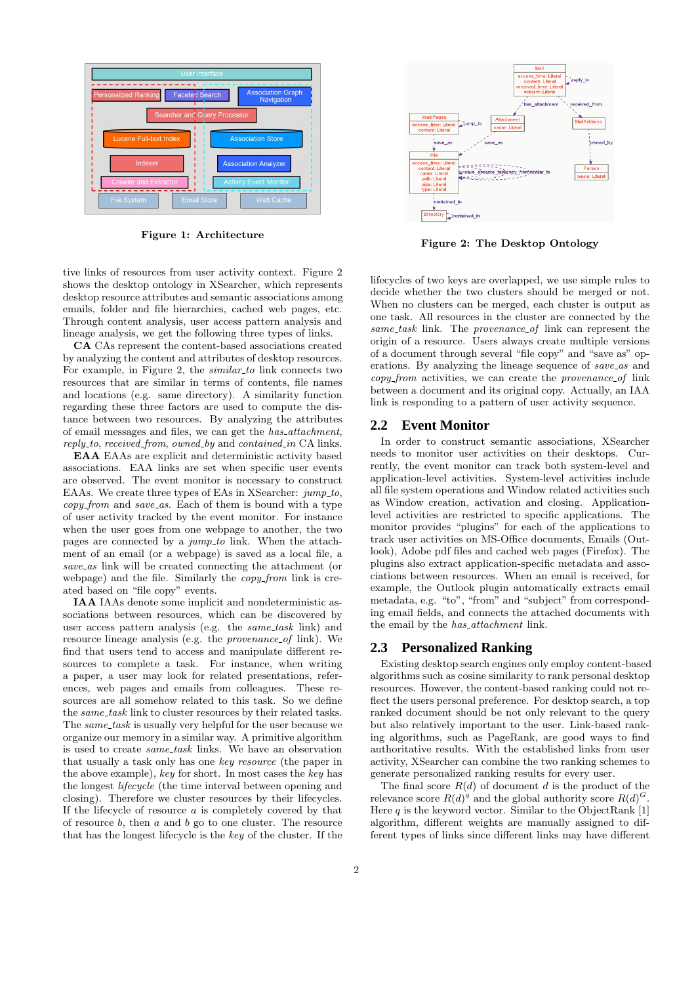

Figure 1: Architecture

tive links of resources from user activity context. Figure 2 shows the desktop ontology in XSearcher, which represents desktop resource attributes and semantic associations among emails, folder and file hierarchies, cached web pages, etc. Through content analysis, user access pattern analysis and lineage analysis, we get the following three types of links.

CA CAs represent the content-based associations created by analyzing the content and attributes of desktop resources. For example, in Figure 2, the *similar\_to* link connects two resources that are similar in terms of contents, file names and locations (e.g. same directory). A similarity function regarding these three factors are used to compute the distance between two resources. By analyzing the attributes of email messages and files, we can get the has attachment, reply\_to, received\_from, owned\_by and contained\_in CA links.

EAA EAAs are explicit and deterministic activity based associations. EAA links are set when specific user events are observed. The event monitor is necessary to construct EAAs. We create three types of EAs in XSearcher:  $jump\_to$ ,  $copy\_from$  and  $save\_as$ . Each of them is bound with a type of user activity tracked by the event monitor. For instance when the user goes from one webpage to another, the two pages are connected by a  $jump_to$  link. When the attachment of an email (or a webpage) is saved as a local file, a save\_as link will be created connecting the attachment (or webpage) and the file. Similarly the *copy\_from* link is created based on "file copy" events.

IAA IAAs denote some implicit and nondeterministic associations between resources, which can be discovered by user access pattern analysis (e.g. the  $same\_task$  link) and resource lineage analysis (e.g. the *provenance of* link). We find that users tend to access and manipulate different resources to complete a task. For instance, when writing a paper, a user may look for related presentations, references, web pages and emails from colleagues. These resources are all somehow related to this task. So we define the *same\_task* link to cluster resources by their related tasks. The same\_task is usually very helpful for the user because we organize our memory in a similar way. A primitive algorithm is used to create *same\_task* links. We have an observation that usually a task only has one key resource (the paper in the above example), key for short. In most cases the key has the longest lifecycle (the time interval between opening and closing). Therefore we cluster resources by their lifecycles. If the lifecycle of resource  $a$  is completely covered by that of resource  $b$ , then  $a$  and  $b$  go to one cluster. The resource that has the longest lifecycle is the key of the cluster. If the



Figure 2: The Desktop Ontology

lifecycles of two keys are overlapped, we use simple rules to decide whether the two clusters should be merged or not. When no clusters can be merged, each cluster is output as one task. All resources in the cluster are connected by the same\_task link. The provenance\_of link can represent the origin of a resource. Users always create multiple versions of a document through several "file copy" and "save as" operations. By analyzing the lineage sequence of save\_as and copy\_from activities, we can create the provenance\_of link between a document and its original copy. Actually, an IAA link is responding to a pattern of user activity sequence.

#### **2.2 Event Monitor**

In order to construct semantic associations, XSearcher needs to monitor user activities on their desktops. Currently, the event monitor can track both system-level and application-level activities. System-level activities include all file system operations and Window related activities such as Window creation, activation and closing. Applicationlevel activities are restricted to specific applications. The monitor provides "plugins" for each of the applications to track user activities on MS-Office documents, Emails (Outlook), Adobe pdf files and cached web pages (Firefox). The plugins also extract application-specific metadata and associations between resources. When an email is received, for example, the Outlook plugin automatically extracts email metadata, e.g. "to", "from" and "subject" from corresponding email fields, and connects the attached documents with the email by the *has\_attachment* link.

### **2.3 Personalized Ranking**

Existing desktop search engines only employ content-based algorithms such as cosine similarity to rank personal desktop resources. However, the content-based ranking could not reflect the users personal preference. For desktop search, a top ranked document should be not only relevant to the query but also relatively important to the user. Link-based ranking algorithms, such as PageRank, are good ways to find authoritative results. With the established links from user activity, XSearcher can combine the two ranking schemes to generate personalized ranking results for every user.

The final score  $R(d)$  of document d is the product of the relevance score  $R(d)^q$  and the global authority score  $R(d)^G$ . Here q is the keyword vector. Similar to the ObjectRank [1] algorithm, different weights are manually assigned to different types of links since different links may have different